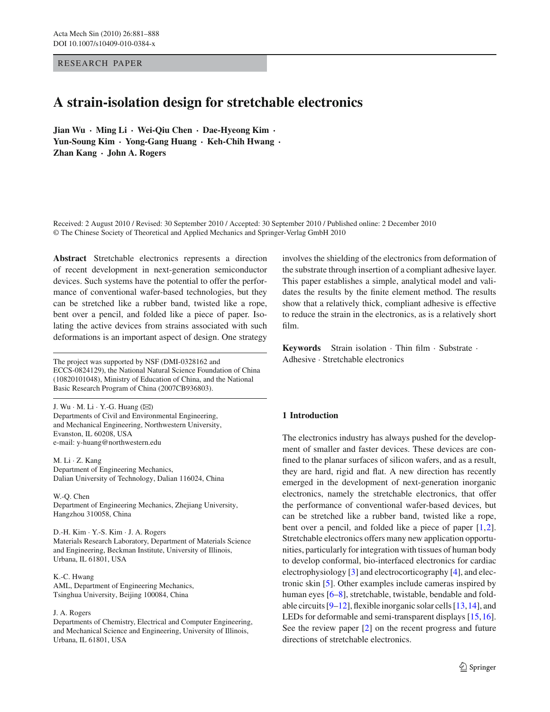RESEARCH PAPER

# **A strain-isolation design for stretchable electronics**

**Jian Wu · Ming Li · Wei-Qiu Chen · Dae-Hyeong Kim · Yun-Soung Kim · Yong-Gang Huang · Keh-Chih Hwang · Zhan Kang · John A. Rogers**

Received: 2 August 2010 / Revised: 30 September 2010 / Accepted: 30 September 2010 / Published online: 2 December 2010 © The Chinese Society of Theoretical and Applied Mechanics and Springer-Verlag GmbH 2010

**Abstract** Stretchable electronics represents a direction of recent development in next-generation semiconductor devices. Such systems have the potential to offer the performance of conventional wafer-based technologies, but they can be stretched like a rubber band, twisted like a rope, bent over a pencil, and folded like a piece of paper. Isolating the active devices from strains associated with such deformations is an important aspect of design. One strategy

The project was supported by NSF (DMI-0328162 and ECCS-0824129), the National Natural Science Foundation of China (10820101048), Ministry of Education of China, and the National Basic Research Program of China (2007CB936803).

J. Wu  $\cdot$  M. Li  $\cdot$  Y.-G. Huang ( $\boxtimes$ ) Departments of Civil and Environmental Engineering, and Mechanical Engineering, Northwestern University, Evanston, IL 60208, USA e-mail: y-huang@northwestern.edu

M. Li · Z. Kang Department of Engineering Mechanics, Dalian University of Technology, Dalian 116024, China

W.-Q. Chen Department of Engineering Mechanics, Zhejiang University, Hangzhou 310058, China

D.-H. Kim · Y.-S. Kim · J. A. Rogers Materials Research Laboratory, Department of Materials Science and Engineering, Beckman Institute, University of Illinois, Urbana, IL 61801, USA

K.-C. Hwang AML, Department of Engineering Mechanics, Tsinghua University, Beijing 100084, China

#### J. A. Rogers

Departments of Chemistry, Electrical and Computer Engineering, and Mechanical Science and Engineering, University of Illinois, Urbana, IL 61801, USA

involves the shielding of the electronics from deformation of the substrate through insertion of a compliant adhesive layer. This paper establishes a simple, analytical model and validates the results by the finite element method. The results show that a relatively thick, compliant adhesive is effective to reduce the strain in the electronics, as is a relatively short film.

**Keywords** Strain isolation · Thin film · Substrate · Adhesive · Stretchable electronics

# **1 Introduction**

The electronics industry has always pushed for the development of smaller and faster devices. These devices are confined to the planar surfaces of silicon wafers, and as a result, they are hard, rigid and flat. A new direction has recently emerged in the development of next-generation inorganic electronics, namely the stretchable electronics, that offer the performance of conventional wafer-based devices, but can be stretched like a rubber band, twisted like a rope, bent over a pencil, and folded like a piece of paper [1,2]. Stretchable electronics offers many new application opportunities, particularly for integration with tissues of human body to develop conformal, bio-interfaced electronics for cardiac electrophysiology [3] and electrocorticography [4], and electronic skin [5]. Other examples include cameras inspired by human eyes [6–8], stretchable, twistable, bendable and foldable circuits [9–12], flexible inorganic solar cells [13,14], and LEDs for deformable and semi-transparent displays [15,16]. See the review paper [2] on the recent progress and future directions of stretchable electronics.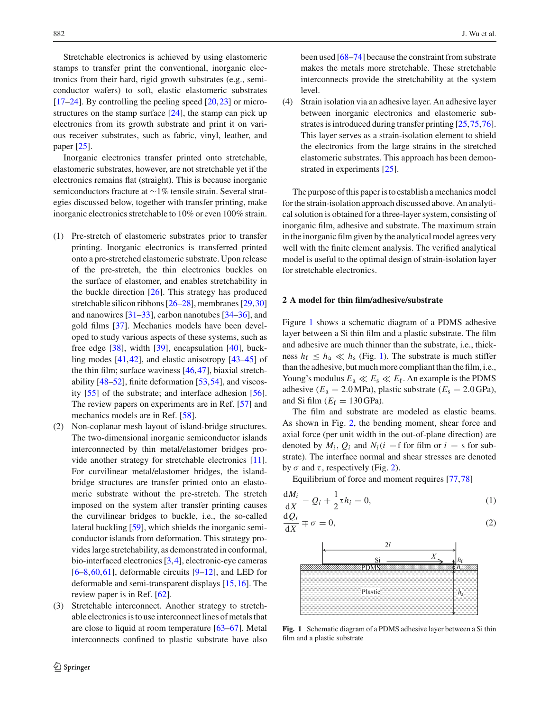Stretchable electronics is achieved by using elastomeric stamps to transfer print the conventional, inorganic electronics from their hard, rigid growth substrates (e.g., semiconductor wafers) to soft, elastic elastomeric substrates [17–24]. By controlling the peeling speed [20,23] or microstructures on the stamp surface [24], the stamp can pick up electronics from its growth substrate and print it on various receiver substrates, such as fabric, vinyl, leather, and paper [25].

Inorganic electronics transfer printed onto stretchable, elastomeric substrates, however, are not stretchable yet if the electronics remains flat (straight). This is because inorganic semiconductors fracture at ∼1% tensile strain. Several strategies discussed below, together with transfer printing, make inorganic electronics stretchable to 10% or even 100% strain.

- (1) Pre-stretch of elastomeric substrates prior to transfer printing. Inorganic electronics is transferred printed onto a pre-stretched elastomeric substrate. Upon release of the pre-stretch, the thin electronics buckles on the surface of elastomer, and enables stretchability in the buckle direction [26]. This strategy has produced stretchable silicon ribbons [26–28], membranes [29,30] and nanowires [31–33], carbon nanotubes [34–36], and gold films [37]. Mechanics models have been developed to study various aspects of these systems, such as free edge  $[38]$ , width  $[39]$ , encapsulation  $[40]$ , buckling modes [41,42], and elastic anisotropy [43–45] of the thin film; surface waviness [46,47], biaxial stretchability [48–52], finite deformation [53,54], and viscosity [55] of the substrate; and interface adhesion [56]. The review papers on experiments are in Ref. [57] and mechanics models are in Ref. [58].
- (2) Non-coplanar mesh layout of island-bridge structures. The two-dimensional inorganic semiconductor islands interconnected by thin metal/elastomer bridges provide another strategy for stretchable electronics [11]. For curvilinear metal/elastomer bridges, the islandbridge structures are transfer printed onto an elastomeric substrate without the pre-stretch. The stretch imposed on the system after transfer printing causes the curvilinear bridges to buckle, i.e., the so-called lateral buckling [59], which shields the inorganic semiconductor islands from deformation. This strategy provides large stretchability, as demonstrated in conformal, bio-interfaced electronics [3,4], electronic-eye cameras  $[6-8,60,61]$ , deformable circuits  $[9-12]$ , and LED for deformable and semi-transparent displays [15,16]. The review paper is in Ref. [62].
- (3) Stretchable interconnect. Another strategy to stretchable electronics is to use interconnect lines of metals that are close to liquid at room temperature [63–67]. Metal interconnects confined to plastic substrate have also

been used [68–74] because the constraint from substrate makes the metals more stretchable. These stretchable interconnects provide the stretchability at the system level.

(4) Strain isolation via an adhesive layer. An adhesive layer between inorganic electronics and elastomeric substrates is introduced during transfer printing [25,75,76]. This layer serves as a strain-isolation element to shield the electronics from the large strains in the stretched elastomeric substrates. This approach has been demonstrated in experiments [25].

The purpose of this paper is to establish a mechanics model for the strain-isolation approach discussed above. An analytical solution is obtained for a three-layer system, consisting of inorganic film, adhesive and substrate. The maximum strain in the inorganic film given by the analytical model agrees very well with the finite element analysis. The verified analytical model is useful to the optimal design of strain-isolation layer for stretchable electronics.

## **2 A model for thin film/adhesive/substrate**

Figure 1 shows a schematic diagram of a PDMS adhesive layer between a Si thin film and a plastic substrate. The film and adhesive are much thinner than the substrate, i.e., thickness  $h_f \leq h_a \ll h_s$  (Fig. 1). The substrate is much stiffer than the adhesive, but much more compliant than the film, i.e., Young's modulus  $E_a \ll E_s \ll E_f$ . An example is the PDMS adhesive ( $E_a = 2.0 \text{ MPa}$ ), plastic substrate ( $E_s = 2.0 \text{ GPa}$ ), and Si film  $(E_f = 130 \text{ GPa})$ .

The film and substrate are modeled as elastic beams. As shown in Fig. 2, the bending moment, shear force and axial force (per unit width in the out-of-plane direction) are denoted by  $M_i$ ,  $Q_i$  and  $N_i$  ( $i = f$  for film or  $i = s$  for substrate). The interface normal and shear stresses are denoted by  $\sigma$  and  $\tau$ , respectively (Fig. 2).

Equilibrium of force and moment requires [77,78]

$$
\frac{\mathrm{d}M_i}{\mathrm{d}X} - Q_i + \frac{1}{2}\tau h_i = 0,\tag{1}
$$

$$
\frac{\mathrm{d}Q_i}{\mathrm{d}X} \mp \sigma = 0,\tag{2}
$$



**Fig. 1** Schematic diagram of a PDMS adhesive layer between a Si thin film and a plastic substrate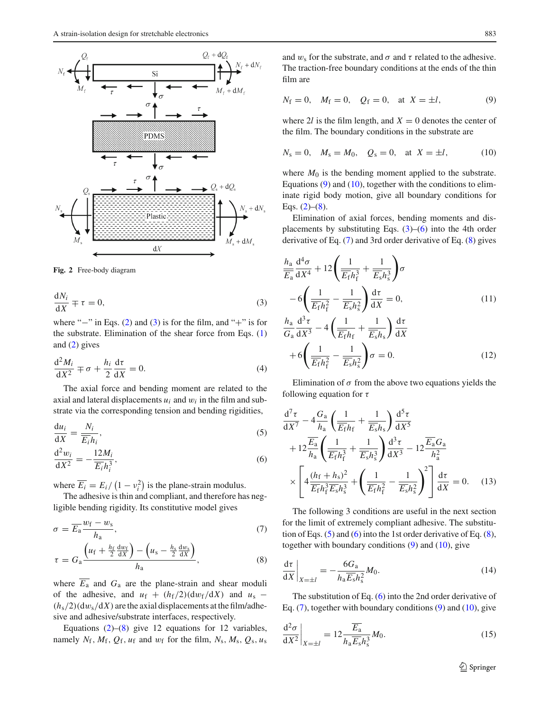

**Fig. 2** Free-body diagram

$$
\frac{\mathrm{d}N_i}{\mathrm{d}X} \mp \tau = 0,\tag{3}
$$

where " $-$ " in Eqs. (2) and (3) is for the film, and "+" is for the substrate. Elimination of the shear force from Eqs. (1) and (2) gives

$$
\frac{\mathrm{d}^2 M_i}{\mathrm{d} X^2} \mp \sigma + \frac{h_i}{2} \frac{\mathrm{d} \tau}{\mathrm{d} X} = 0. \tag{4}
$$

The axial force and bending moment are related to the axial and lateral displacements  $u_i$  and  $w_i$  in the film and substrate via the corresponding tension and bending rigidities,

$$
\frac{\mathrm{d}u_i}{\mathrm{d}X} = \frac{N_i}{\overline{E_i}h_i},\tag{5}
$$

$$
\frac{\mathrm{d}^2 w_i}{\mathrm{d} X^2} = -\frac{12M_i}{\overline{E_i} h_i^3},\tag{6}
$$

where  $\overline{E_i} = E_i / (1 - v_i^2)$  is the plane-strain modulus.

The adhesive is thin and compliant, and therefore has negligible bending rigidity. Its constitutive model gives

$$
\sigma = \overline{E}_{a} \frac{w_{f} - w_{s}}{h_{a}},\tag{7}
$$

$$
\tau = G_{\rm a} \frac{\left(u_{\rm f} + \frac{h_{\rm f}}{2} \frac{\mathrm{d}w_{\rm f}}{\mathrm{d}X}\right) - \left(u_{\rm s} - \frac{h_{\rm s}}{2} \frac{\mathrm{d}w_{\rm s}}{\mathrm{d}X}\right)}{h_{\rm a}},\tag{8}
$$

where  $\overline{E_a}$  and  $G_a$  are the plane-strain and shear moduli of the adhesive, and  $u_f + (h_f/2)(dw_f/dX)$  and  $u_s$  –  $(h_s/2)(dw_s/dX)$  are the axial displacements at the film/adhesive and adhesive/substrate interfaces, respectively.

Equations  $(2)$ – $(8)$  give 12 equations for 12 variables, namely  $N_f$ ,  $M_f$ ,  $Q_f$ ,  $u_f$  and  $w_f$  for the film,  $N_s$ ,  $M_s$ ,  $Q_s$ ,  $u_s$  and  $w_s$  for the substrate, and  $\sigma$  and  $\tau$  related to the adhesive. The traction-free boundary conditions at the ends of the thin film are

$$
N_f = 0
$$
,  $M_f = 0$ ,  $Q_f = 0$ , at  $X = \pm l$ , (9)

where 2*l* is the film length, and  $X = 0$  denotes the center of the film. The boundary conditions in the substrate are

$$
N_s = 0
$$
,  $M_s = M_0$ ,  $Q_s = 0$ , at  $X = \pm l$ , (10)

where  $M_0$  is the bending moment applied to the substrate. Equations  $(9)$  and  $(10)$ , together with the conditions to eliminate rigid body motion, give all boundary conditions for Eqs.  $(2)$ – $(8)$ .

Elimination of axial forces, bending moments and displacements by substituting Eqs.  $(3)$ – $(6)$  into the 4th order derivative of Eq. (7) and 3rd order derivative of Eq. (8) gives

$$
\frac{h_a}{\overline{E_a}} \frac{d^4 \sigma}{dX^4} + 12 \left( \frac{1}{\overline{E_f} h_f^3} + \frac{1}{\overline{E_s} h_s^3} \right) \sigma
$$

$$
-6 \left( \frac{1}{\overline{E_f} h_f^2} - \frac{1}{\overline{E_s} h_s^2} \right) \frac{d\tau}{dX} = 0,
$$
(11)

$$
\frac{h_a}{G_a} \frac{d^3 \tau}{dX^3} - 4 \left( \frac{1}{\overline{E_{f}} h_f} + \frac{1}{\overline{E_{s}} h_s} \right) \frac{d\tau}{dX} + 6 \left( \frac{1}{\overline{E_{f}} h_f^2} - \frac{1}{\overline{E_{s}} h_s^2} \right) \sigma = 0.
$$
 (12)

Elimination of  $\sigma$  from the above two equations yields the following equation for  $\tau$ 

$$
\frac{d^7 \tau}{dX^7} - 4 \frac{G_a}{h_a} \left( \frac{1}{\overline{E_f} h_f} + \frac{1}{\overline{E_s} h_s} \right) \frac{d^5 \tau}{dX^5} \n+ 12 \frac{\overline{E_a}}{h_a} \left( \frac{1}{\overline{E_f} h_f^3} + \frac{1}{\overline{E_s} h_s^3} \right) \frac{d^3 \tau}{dX^3} - 12 \frac{\overline{E_a} G_a}{h_a^2} \n\times \left[ 4 \frac{(h_f + h_s)^2}{\overline{E_f} h_f^3 \overline{E_s} h_s^3} + \left( \frac{1}{\overline{E_f} h_f^2} - \frac{1}{\overline{E_s} h_s^2} \right)^2 \right] \frac{d\tau}{dX} = 0.
$$
\n(13)

The following 3 conditions are useful in the next section for the limit of extremely compliant adhesive. The substitution of Eqs.  $(5)$  and  $(6)$  into the 1st order derivative of Eq.  $(8)$ , together with boundary conditions  $(9)$  and  $(10)$ , give

$$
\left. \frac{\mathrm{d}\tau}{\mathrm{d}X} \right|_{X=\pm l} = -\frac{6G_{\mathrm{a}}}{h_{\mathrm{a}}\overline{E_{\mathrm{s}}}h_{\mathrm{s}}^2}M_0. \tag{14}
$$

The substitution of Eq. (6) into the 2nd order derivative of Eq.  $(7)$ , together with boundary conditions  $(9)$  and  $(10)$ , give

$$
\frac{\mathrm{d}^2 \sigma}{\mathrm{d} X^2} \bigg|_{X = \pm l} = 12 \frac{\overline{E_a}}{h_a \overline{E_s} h_s^3} M_0. \tag{15}
$$

<sup>1</sup> Springer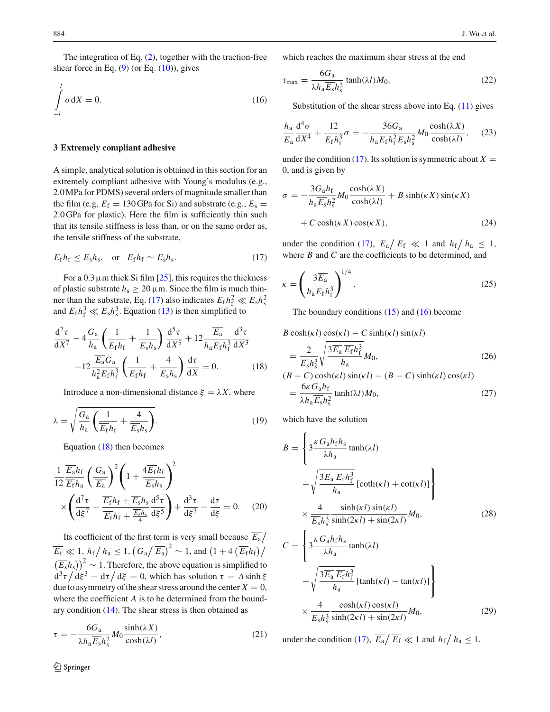The integration of Eq. (2), together with the traction-free shear force in Eq.  $(9)$  (or Eq.  $(10)$ ), gives

$$
\int_{-l}^{l} \sigma \, \mathrm{d}X = 0. \tag{16}
$$

## **3 Extremely compliant adhesive**

A simple, analytical solution is obtained in this section for an extremely compliant adhesive with Young's modulus (e.g., 2.0MPa for PDMS) several orders of magnitude smaller than the film (e.g,  $E_f = 130$  GPa for Si) and substrate (e.g.,  $E_s =$ 2.0 GPa for plastic). Here the film is sufficiently thin such that its tensile stiffness is less than, or on the same order as, the tensile stiffness of the substrate,

$$
E_{\rm f}h_{\rm f} \le E_{\rm s}h_{\rm s}, \quad \text{or} \quad E_{\rm f}h_{\rm f} \sim E_{\rm s}h_{\rm s}. \tag{17}
$$

For a  $0.3 \mu$ m thick Si film [25], this requires the thickness of plastic substrate  $h_s \ge 20 \,\mu\text{m}$ . Since the film is much thinner than the substrate, Eq. (17) also indicates  $E_f h_f^2 \ll E_s h_s^2$ and  $E_f h_f^3 \ll E_s h_s^3$ . Equation (13) is then simplified to

$$
\frac{\mathrm{d}^7 \tau}{\mathrm{d}X^7} - 4 \frac{G_a}{h_a} \left( \frac{1}{\overline{E}_{\text{f}} h_{\text{f}}} + \frac{1}{\overline{E}_s h_s} \right) \frac{\mathrm{d}^5 \tau}{\mathrm{d}X^5} + 12 \frac{\overline{E}_a}{h_a \overline{E}_{\text{f}} h_{\text{f}}^3} \frac{\mathrm{d}^3 \tau}{\mathrm{d}X^3} - 12 \frac{\overline{E}_a G_a}{h_a^2 \overline{E}_{\text{f}} h_{\text{f}}^3} \left( \frac{1}{\overline{E}_{\text{f}} h_{\text{f}}} + \frac{4}{\overline{E}_s h_s} \right) \frac{\mathrm{d} \tau}{\mathrm{d}X} = 0.
$$
 (18)

Introduce a non-dimensional distance  $\xi = \lambda X$ , where

$$
\lambda = \sqrt{\frac{G_a}{h_a} \left( \frac{1}{\overline{E_{\rm f}} h_{\rm f}} + \frac{4}{\overline{E_{\rm s}} h_{\rm s}} \right)}.
$$
\n(19)

Equation (18) then becomes

$$
\frac{1}{12} \frac{\overline{E_a} h_f}{\overline{E_f} h_a} \left( \frac{G_a}{\overline{E_a}} \right)^2 \left( 1 + \frac{4 \overline{E_f} h_f}{\overline{E_s} h_s} \right)^2
$$

$$
\times \left( \frac{d^7 \tau}{d \xi^7} - \frac{\overline{E_f} h_f + \overline{E_s} h_s}{\overline{E_f} h_f + \frac{\overline{E_s} h_s}{4}} \frac{d^5 \tau}{d \xi^5} \right) + \frac{d^3 \tau}{d \xi^3} - \frac{d\tau}{d \xi} = 0. \quad (20)
$$

Its coefficient of the first term is very small because  $\overline{E_a}/$  $\overline{E_{\rm f}} \ll 1$ ,  $h_{\rm f}/h_{\rm a} \le 1$ ,  $\left(G_{\rm a}/\overline{E_{\rm a}}\right)^2 \sim 1$ , and  $\left(1 + 4\left(\overline{E_{\rm f}}h_{\rm f}\right)\right)$  $(\overline{E_s}h_s)\right)^2 \sim 1$ . Therefore, the above equation is simplified to  $d^3\tau/d\xi^3 - d\tau/d\xi = 0$ , which has solution  $\tau = A \sinh \xi$ due to asymmetry of the shear stress around the center  $X = 0$ , where the coefficient *A* is to be determined from the boundary condition  $(14)$ . The shear stress is then obtained as

$$
\tau = -\frac{6G_a}{\lambda h_a \overline{E_s} h_s^2} M_0 \frac{\sinh(\lambda X)}{\cosh(\lambda l)},\tag{21}
$$

which reaches the maximum shear stress at the end

$$
\tau_{\text{max}} = \frac{6G_{\text{a}}}{\lambda h_{\text{a}} \overline{E_{\text{s}}} h_{\text{s}}^2} \tanh(\lambda l) M_0. \tag{22}
$$

Substitution of the shear stress above into Eq.  $(11)$  gives

$$
\frac{h_a}{E_a} \frac{d^4 \sigma}{dX^4} + \frac{12}{\overline{E_f} h_f^3} \sigma = -\frac{36 G_a}{h_a \overline{E_f} h_f^2 \overline{E_s} h_s^2} M_0 \frac{\cosh(\lambda X)}{\cosh(\lambda l)},\tag{23}
$$

under the condition (17). Its solution is symmetric about  $X =$ 0, and is given by

$$
\sigma = -\frac{3G_a h_f}{h_a \overline{E_s} h_s^2} M_0 \frac{\cosh(\lambda X)}{\cosh(\lambda l)} + B \sinh(\kappa X) \sin(\kappa X)
$$

$$
+ C \cosh(\kappa X) \cos(\kappa X), \tag{24}
$$

under the condition (17),  $\overline{E}_a / \overline{E}_f \ll 1$  and  $h_f / h_a \leq 1$ , where *B* and *C* are the coefficients to be determined, and

$$
\kappa = \left(\frac{3\overline{E}_a}{h_a \overline{E_f} h_f^3}\right)^{1/4}.\tag{25}
$$

The boundary conditions  $(15)$  and  $(16)$  become

$$
B \cosh(\kappa l) \cos(\kappa l) - C \sinh(\kappa l) \sin(\kappa l)
$$
  
= 
$$
\frac{2}{\overline{E}_s h_s^3} \sqrt{\frac{3\overline{E}_a \overline{E}_f h_f^3}{h_a}} M_0,
$$
 (26)

$$
(B + C) \cosh(\kappa l) \sin(\kappa l) - (B - C) \sinh(\kappa l) \cos(\kappa l)
$$
  
= 
$$
\frac{6\kappa G_a h_f}{\lambda h_a \overline{E_s} h_s^2} \tanh(\lambda l) M_0,
$$
 (27)

which have the solution

$$
B = \left\{ 3\frac{\kappa G_a h_f h_s}{\lambda h_a} \tanh(\lambda l) + \sqrt{\frac{3\overline{E_a} \overline{E_f} h_i^3}{h_a}} \left[ \coth(\kappa l) + \cot(\kappa l) \right] \right\}
$$
  

$$
\times \frac{4}{\overline{E_s} h_s^3} \frac{\sinh(\kappa l) \sin(\kappa l)}{\sinh(2\kappa l) + \sin(2\kappa l)} M_0,
$$
(28)  

$$
C = \left\{ 3\frac{\kappa G_a h_f h_s}{\lambda h_a} \tanh(\lambda l) + \sqrt{\frac{3\overline{E_a} \overline{E_f} h_i^3}{h_a}} \left[ \tanh(\kappa l) - \tan(\kappa l) \right] \right\}
$$
  

$$
\times \frac{4}{\overline{E_s} h_s^3} \frac{\cosh(\kappa l) \cos(\kappa l)}{\sinh(2\kappa l) + \sin(2\kappa l)} M_0,
$$
(29)

under the condition (17),  $\overline{E_a}/\overline{E_f} \ll 1$  and  $h_f/h_a \leq 1$ .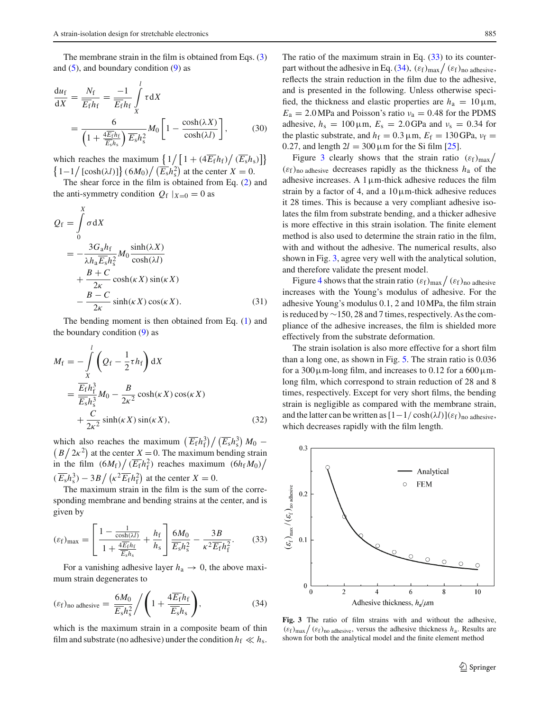The membrane strain in the film is obtained from Eqs. (3) and  $(5)$ , and boundary condition  $(9)$  as

$$
\frac{du_f}{dX} = \frac{N_f}{\overline{E_f}h_f} = \frac{-1}{\overline{E_f}h_f} \int\limits_X^l \tau dX
$$
  
= 
$$
\frac{6}{\left(1 + \frac{4\overline{E_f}h_f}{\overline{E_s}h_s}\right)\overline{E_s}h_s^2} M_0 \left[1 - \frac{\cosh(\lambda X)}{\cosh(\lambda l)}\right],
$$
(30)

which reaches the maximum  $\left\{1/\left[1 + \left(4\overline{E_{f}}h_{f}\right)/\left(\overline{E_{s}}h_{s}\right)\right]\right\}$  $\left\{1-1/\left[\cosh(\lambda l)\right]\right\}(6M_0)/\left(\overline{E_s}h_s^2\right)$  at the center  $X=0$ .

The shear force in the film is obtained from Eq. (2) and the anti-symmetry condition  $Q_f |_{X=0} = 0$  as

$$
Q_{f} = \int_{0}^{X} \sigma \, dX
$$
  
= 
$$
-\frac{3G_{a}h_{f}}{\lambda h_{a}\overline{E_{s}}h_{s}^{2}}M_{0} \frac{\sinh(\lambda X)}{\cosh(\lambda l)}
$$
  
+ 
$$
\frac{B+C}{2\kappa} \cosh(\kappa X) \sin(\kappa X)
$$
  
- 
$$
\frac{B-C}{2\kappa} \sinh(\kappa X) \cos(\kappa X).
$$
 (31)

The bending moment is then obtained from Eq. (1) and the boundary condition  $(9)$  as

$$
M_{\rm f} = -\int\limits_X^l \left( Q_{\rm f} - \frac{1}{2} \tau h_{\rm f} \right) dX
$$
  
= 
$$
\frac{\overline{E_{\rm f}} h_{\rm f}^3}{\overline{E_{\rm s}} h_{\rm s}^3} M_0 - \frac{B}{2\kappa^2} \cosh(\kappa X) \cos(\kappa X)
$$
  
+ 
$$
\frac{C}{2\kappa^2} \sinh(\kappa X) \sin(\kappa X), \tag{32}
$$

which also reaches the maximum  $\left(\overline{E_{\rm f}}h_{\rm f}^3\right)/\left(\overline{E_{\rm s}}h_{\rm s}^3\right)$ which also reaches the maximum  $(E_f h_i^3)/(E_s h_s^3) M_0 - (B/2\kappa^2)$  at the center  $X = 0$ . The maximum bending strain  $(B/2\kappa^2)$  at the center *X* = 0. The maximum bending strain in the film  $(6M_f)/(\overline{E_f}h_f^2)$  reaches maximum  $(6h_fM_0)/$  $(\overline{E_s}h_s^3) - 3B / (\kappa^2 \overline{E_f}h_f^2)$  at the center  $X = 0$ .

The maximum strain in the film is the sum of the corresponding membrane and bending strains at the center, and is given by

$$
(\varepsilon_f)_{\text{max}} = \left[ \frac{1 - \frac{1}{\cosh(\lambda I)}}{1 + \frac{4E_f h_f}{E_s h_s}} + \frac{h_f}{h_s} \right] \frac{6M_0}{E_s h_s^2} - \frac{3B}{\kappa^2 \overline{E_f} h_f^2}.
$$
 (33)

For a vanishing adhesive layer  $h_a \rightarrow 0$ , the above maximum strain degenerates to

$$
(\varepsilon_{\rm f})_{\rm no \,\,adhesive} = \frac{6M_0}{\overline{E_{\rm s}}h_{\rm s}^2} / \left(1 + \frac{4\overline{E_{\rm f}}h_{\rm f}}{\overline{E_{\rm s}}h_{\rm s}}\right),\tag{34}
$$

which is the maximum strain in a composite beam of thin film and substrate (no adhesive) under the condition  $h_f \ll h_s$ . The ratio of the maximum strain in Eq.  $(33)$  to its counterpart without the adhesive in Eq. (34),  $(\varepsilon_f)_{max}/(\varepsilon_f)_{no}$  adhesive, reflects the strain reduction in the film due to the adhesive, and is presented in the following. Unless otherwise specified, the thickness and elastic properties are  $h_a = 10 \,\mu \text{m}$ ,  $E_a = 2.0 \text{ MPa}$  and Poisson's ratio  $v_a = 0.48$  for the PDMS adhesive,  $h_s = 100 \,\mu\text{m}$ ,  $E_s = 2.0 \,\text{GPa}$  and  $v_s = 0.34$  for the plastic substrate, and  $h_f = 0.3 \,\mu\text{m}$ ,  $E_f = 130 \,\text{GPa}$ ,  $v_f =$ 0.27, and length  $2l = 300 \,\mu \text{m}$  for the Si film [25].

Figure 3 clearly shows that the strain ratio  $(\varepsilon_f)_{\text{max}}/$ (εf)no adhesive decreases rapidly as the thickness *h*<sup>a</sup> of the adhesive increases. A  $1 \mu$ m-thick adhesive reduces the film strain by a factor of 4, and a  $10 \mu$ m-thick adhesive reduces it 28 times. This is because a very compliant adhesive isolates the film from substrate bending, and a thicker adhesive is more effective in this strain isolation. The finite element method is also used to determine the strain ratio in the film, with and without the adhesive. The numerical results, also shown in Fig. 3, agree very well with the analytical solution, and therefore validate the present model.

Figure 4 shows that the strain ratio  $(\varepsilon_f)_{max}/(\varepsilon_f)_{no}$  adhesive increases with the Young's modulus of adhesive. For the adhesive Young's modulus 0.1, 2 and 10MPa, the film strain is reduced by  $\sim$ 150, 28 and 7 times, respectively. As the compliance of the adhesive increases, the film is shielded more effectively from the substrate deformation.

The strain isolation is also more effective for a short film than a long one, as shown in Fig. 5. The strain ratio is 0.036 for a  $300 \mu$ m-long film, and increases to 0.12 for a  $600 \mu$ mlong film, which correspond to strain reduction of 28 and 8 times, respectively. Except for very short films, the bending strain is negligible as compared with the membrane strain, and the latter can be written as  $[1-1/\cosh(\lambda l)](\varepsilon_f)_{no}$  adhesive, which decreases rapidly with the film length.



**Fig. 3** The ratio of film strains with and without the adhesive,  $(\epsilon_f)_{\text{max}}/(\epsilon_f)_{\text{no adhesive}}$ , versus the adhesive thickness  $h_a$ . Results are shown for both the analytical model and the finite element method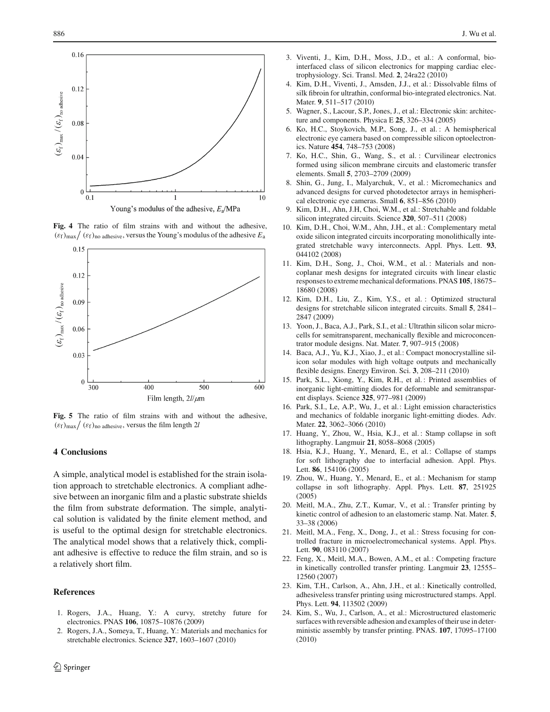

**Fig. 4** The ratio of film strains with and without the adhesive,  $(\epsilon_f)_{\text{max}} / (\epsilon_f)_{\text{no adhesive}}$ , versus the Young's modulus of the adhesive  $E_a$ 



**Fig. 5** The ratio of film strains with and without the adhesive,  $(\varepsilon_f)_{\text{max}} / (\varepsilon_f)_{\text{no adhesive}}$ , versus the film length 2*l* 

#### **4 Conclusions**

A simple, analytical model is established for the strain isolation approach to stretchable electronics. A compliant adhesive between an inorganic film and a plastic substrate shields the film from substrate deformation. The simple, analytical solution is validated by the finite element method, and is useful to the optimal design for stretchable electronics. The analytical model shows that a relatively thick, compliant adhesive is effective to reduce the film strain, and so is a relatively short film.

## **References**

- 1. Rogers, J.A., Huang, Y.: A curvy, stretchy future for electronics. PNAS **106**, 10875–10876 (2009)
- 2. Rogers, J.A., Someya, T., Huang, Y.: Materials and mechanics for stretchable electronics. Science **327**, 1603–1607 (2010)
- 3. Viventi, J., Kim, D.H., Moss, J.D., et al.: A conformal, biointerfaced class of silicon electronics for mapping cardiac electrophysiology. Sci. Transl. Med. **2**, 24ra22 (2010)
- 4. Kim, D.H., Viventi, J., Amsden, J.J., et al.: Dissolvable films of silk fibroin for ultrathin, conformal bio-integrated electronics. Nat. Mater. **9**, 511–517 (2010)
- 5. Wagner, S., Lacour, S.P., Jones, J., et al.: Electronic skin: architecture and components. Physica E **25**, 326–334 (2005)
- 6. Ko, H.C., Stoykovich, M.P., Song, J., et al. : A hemispherical electronic eye camera based on compressible silicon optoelectronics. Nature **454**, 748–753 (2008)
- 7. Ko, H.C., Shin, G., Wang, S., et al. : Curvilinear electronics formed using silicon membrane circuits and elastomeric transfer elements. Small **5**, 2703–2709 (2009)
- 8. Shin, G., Jung, I., Malyarchuk, V., et al.: Micromechanics and advanced designs for curved photodetector arrays in hemispherical electronic eye cameras. Small **6**, 851–856 (2010)
- 9. Kim, D.H., Ahn, J.H, Choi, W.M., et al.: Stretchable and foldable silicon integrated circuits. Science **320**, 507–511 (2008)
- 10. Kim, D.H., Choi, W.M., Ahn, J.H., et al.: Complementary metal oxide silicon integrated circuits incorporating monolithically integrated stretchable wavy interconnects. Appl. Phys. Lett. **93**, 044102 (2008)
- 11. Kim, D.H., Song, J., Choi, W.M., et al. : Materials and noncoplanar mesh designs for integrated circuits with linear elastic responses to extreme mechanical deformations. PNAS **105**, 18675– 18680 (2008)
- 12. Kim, D.H., Liu, Z., Kim, Y.S., et al. : Optimized structural designs for stretchable silicon integrated circuits. Small **5**, 2841– 2847 (2009)
- 13. Yoon, J., Baca, A.J., Park, S.I., et al.: Ultrathin silicon solar microcells for semitransparent, mechanically flexible and microconcentrator module designs. Nat. Mater. **7**, 907–915 (2008)
- 14. Baca, A.J., Yu, K.J., Xiao, J., et al.: Compact monocrystalline silicon solar modules with high voltage outputs and mechanically flexible designs. Energy Environ. Sci. **3**, 208–211 (2010)
- 15. Park, S.L., Xiong, Y., Kim, R.H., et al. : Printed assemblies of inorganic light-emitting diodes for deformable and semitransparent displays. Science **325**, 977–981 (2009)
- 16. Park, S.I., Le, A.P., Wu, J., et al.: Light emission characteristics and mechanics of foldable inorganic light-emitting diodes. Adv. Mater. **22**, 3062–3066 (2010)
- 17. Huang, Y., Zhou, W., Hsia, K.J., et al. : Stamp collapse in soft lithography. Langmuir **21**, 8058–8068 (2005)
- 18. Hsia, K.J., Huang, Y., Menard, E., et al.: Collapse of stamps for soft lithography due to interfacial adhesion. Appl. Phys. Lett. **86**, 154106 (2005)
- 19. Zhou, W., Huang, Y., Menard, E., et al. : Mechanism for stamp collapse in soft lithography. Appl. Phys. Lett. **87**, 251925 (2005)
- 20. Meitl, M.A., Zhu, Z.T., Kumar, V., et al. : Transfer printing by kinetic control of adhesion to an elastomeric stamp. Nat. Mater. **5**, 33–38 (2006)
- 21. Meitl, M.A., Feng, X., Dong, J., et al.: Stress focusing for controlled fracture in microelectromechanical systems. Appl. Phys. Lett. **90**, 083110 (2007)
- 22. Feng, X., Meitl, M.A., Bowen, A.M., et al.: Competing fracture in kinetically controlled transfer printing. Langmuir **23**, 12555– 12560 (2007)
- 23. Kim, T.H., Carlson, A., Ahn, J.H., et al.: Kinetically controlled, adhesiveless transfer printing using microstructured stamps. Appl. Phys. Lett. **94**, 113502 (2009)
- 24. Kim, S., Wu, J., Carlson, A., et al.: Microstructured elastomeric surfaces with reversible adhesion and examples of their use in deterministic assembly by transfer printing. PNAS. **107**, 17095–17100 (2010)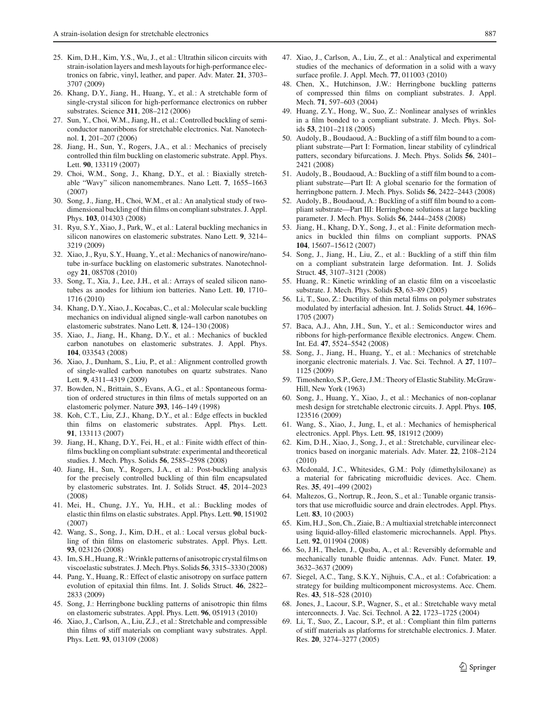- 25. Kim, D.H., Kim, Y.S., Wu, J., et al.: Ultrathin silicon circuits with strain-isolation layers and mesh layouts for high-performance electronics on fabric, vinyl, leather, and paper. Adv. Mater. **21**, 3703– 3707 (2009)
- 26. Khang, D.Y., Jiang, H., Huang, Y., et al.: A stretchable form of single-crystal silicon for high-performance electronics on rubber substrates. Science **311**, 208–212 (2006)
- 27. Sun, Y., Choi, W.M., Jiang, H., et al.: Controlled buckling of semiconductor nanoribbons for stretchable electronics. Nat. Nanotechnol. **1**, 201–207 (2006)
- 28. Jiang, H., Sun, Y., Rogers, J.A., et al. : Mechanics of precisely controlled thin film buckling on elastomeric substrate. Appl. Phys. Lett. **90**, 133119 (2007)
- 29. Choi, W.M., Song, J., Khang, D.Y., et al. : Biaxially stretchable "Wavy" silicon nanomembranes. Nano Lett. **7**, 1655–1663 (2007)
- 30. Song, J., Jiang, H., Choi, W.M., et al.: An analytical study of twodimensional buckling of thin films on compliant substrates. J. Appl. Phys. **103**, 014303 (2008)
- 31. Ryu, S.Y., Xiao, J., Park, W., et al.: Lateral buckling mechanics in silicon nanowires on elastomeric substrates. Nano Lett. **9**, 3214– 3219 (2009)
- 32. Xiao, J., Ryu, S.Y., Huang, Y., et al.: Mechanics of nanowire/nanotube in-surface buckling on elastomeric substrates. Nanotechnology **21**, 085708 (2010)
- 33. Song, T., Xia, J., Lee, J.H., et al.: Arrays of sealed silicon nanotubes as anodes for lithium ion batteries. Nano Lett. **10**, 1710– 1716 (2010)
- 34. Khang, D.Y., Xiao, J., Kocabas, C., et al.: Molecular scale buckling mechanics on individual aligned single-wall carbon nanotubes on elastomeric substrates. Nano Lett. **8**, 124–130 (2008)
- 35. Xiao, J., Jiang, H., Khang, D.Y., et al. : Mechanics of buckled carbon nanotubes on elastomeric substrates. J. Appl. Phys. **104**, 033543 (2008)
- 36. Xiao, J., Dunham, S., Liu, P., et al.: Alignment controlled growth of single-walled carbon nanotubes on quartz substrates. Nano Lett. **9**, 4311–4319 (2009)
- 37. Bowden, N., Brittain, S., Evans, A.G., et al.: Spontaneous formation of ordered structures in thin films of metals supported on an elastomeric polymer. Nature **393**, 146–149 (1998)
- 38. Koh, C.T., Liu, Z.J., Khang, D.Y., et al.: Edge effects in buckled thin films on elastomeric substrates. Appl. Phys. Lett. **91**, 133113 (2007)
- 39. Jiang, H., Khang, D.Y., Fei, H., et al.: Finite width effect of thinfilms buckling on compliant substrate: experimental and theoretical studies. J. Mech. Phys. Solids **56**, 2585–2598 (2008)
- 40. Jiang, H., Sun, Y., Rogers, J.A., et al.: Post-buckling analysis for the precisely controlled buckling of thin film encapsulated by elastomeric substrates. Int. J. Solids Struct. **45**, 2014–2023 (2008)
- 41. Mei, H., Chung, J.Y., Yu, H.H., et al.: Buckling modes of elastic thin films on elastic substrates. Appl. Phys. Lett. **90**, 151902 (2007)
- 42. Wang, S., Song, J., Kim, D.H., et al.: Local versus global buckling of thin films on elastomeric substrates. Appl. Phys. Lett. **93**, 023126 (2008)
- 43. Im, S.H., Huang, R.:Wrinkle patterns of anisotropic crystal films on viscoelastic substrates. J.Mech. Phys. Solids **56**, 3315–3330 (2008)
- 44. Pang, Y., Huang, R.: Effect of elastic anisotropy on surface pattern evolution of epitaxial thin films. Int. J. Solids Struct. **46**, 2822– 2833 (2009)
- 45. Song, J.: Herringbone buckling patterns of anisotropic thin films on elastomeric substrates. Appl. Phys. Lett. **96**, 051913 (2010)
- 46. Xiao, J., Carlson, A., Liu, Z.J., et al.: Stretchable and compressible thin films of stiff materials on compliant wavy substrates. Appl. Phys. Lett. **93**, 013109 (2008)
- 47. Xiao, J., Carlson, A., Liu, Z., et al.: Analytical and experimental studies of the mechanics of deformation in a solid with a wavy surface profile. J. Appl. Mech. **77**, 011003 (2010)
- 48. Chen, X., Hutchinson, J.W.: Herringbone buckling patterns of compressed thin films on compliant substrates. J. Appl. Mech. **71**, 597–603 (2004)
- 49. Huang, Z.Y., Hong, W., Suo, Z.: Nonlinear analyses of wrinkles in a film bonded to a compliant substrate. J. Mech. Phys. Solids **53**, 2101–2118 (2005)
- 50. Audoly, B., Boudaoud, A.: Buckling of a stiff film bound to a compliant substrate—Part I: Formation, linear stability of cylindrical patters, secondary bifurcations. J. Mech. Phys. Solids **56**, 2401– 2421 (2008)
- 51. Audoly, B., Boudaoud, A.: Buckling of a stiff film bound to a compliant substrate—Part II: A global scenario for the formation of herringbone pattern. J. Mech. Phys. Solids **56**, 2422–2443 (2008)
- 52. Audoly, B., Boudaoud, A.: Buckling of a stiff film bound to a compliant substrate—Part III: Herringbone solutions at large buckling parameter. J. Mech. Phys. Solids **56**, 2444–2458 (2008)
- 53. Jiang, H., Khang, D.Y., Song, J., et al.: Finite deformation mechanics in buckled thin films on compliant supports. PNAS **104**, 15607–15612 (2007)
- 54. Song, J., Jiang, H., Liu, Z., et al. : Buckling of a stiff thin film on a compliant substratein large deformation. Int. J. Solids Struct. **45**, 3107–3121 (2008)
- 55. Huang, R.: Kinetic wrinkling of an elastic film on a viscoelastic substrate. J. Mech. Phys. Solids **53**, 63–89 (2005)
- 56. Li, T., Suo, Z.: Ductility of thin metal films on polymer substrates modulated by interfacial adhesion. Int. J. Solids Struct. **44**, 1696– 1705 (2007)
- 57. Baca, A.J., Ahn, J.H., Sun, Y., et al.: Semiconductor wires and ribbons for high-performance flexible electronics. Angew. Chem. Int. Ed. **47**, 5524–5542 (2008)
- 58. Song, J., Jiang, H., Huang, Y., et al. : Mechanics of stretchable inorganic electronic materials. J. Vac. Sci. Technol. A **27**, 1107– 1125 (2009)
- 59. Timoshenko, S.P., Gere, J.M.: Theory of Elastic Stability. McGraw-Hill, New York (1963)
- 60. Song, J., Huang, Y., Xiao, J., et al.: Mechanics of non-coplanar mesh design for stretchable electronic circuits. J. Appl. Phys. **105**, 123516 (2009)
- 61. Wang, S., Xiao, J., Jung, I., et al.: Mechanics of hemispherical electronics. Appl. Phys. Lett. **95**, 181912 (2009)
- 62. Kim, D.H., Xiao, J., Song, J., et al.: Stretchable, curvilinear electronics based on inorganic materials. Adv. Mater. **22**, 2108–2124 (2010)
- 63. Mcdonald, J.C., Whitesides, G.M.: Poly (dimethylsiloxane) as a material for fabricating microfluidic devices. Acc. Chem. Res. **35**, 491–499 (2002)
- 64. Maltezos, G., Nortrup, R., Jeon, S., et al.: Tunable organic transistors that use microfluidic source and drain electrodes. Appl. Phys. Lett. **83**, 10 (2003)
- 65. Kim, H.J., Son, Ch., Ziaie, B.: A multiaxial stretchable interconnect using liquid-alloy-filled elastomeric microchannels. Appl. Phys. Lett. **92**, 011904 (2008)
- 66. So, J.H., Thelen, J., Qusba, A., et al.: Reversibly deformable and mechanically tunable fluidic antennas. Adv. Funct. Mater. **19**, 3632–3637 (2009)
- 67. Siegel, A.C., Tang, S.K.Y., Nijhuis, C.A., et al.: Cofabrication: a strategy for building multicomponent microsystems. Acc. Chem. Res. **43**, 518–528 (2010)
- 68. Jones, J., Lacour, S.P., Wagner, S., et al.: Stretchable wavy metal interconnects. J. Vac. Sci. Technol. A **22**, 1723–1725 (2004)
- 69. Li, T., Suo, Z., Lacour, S.P., et al.: Compliant thin film patterns of stiff materials as platforms for stretchable electronics. J. Mater. Res. **20**, 3274–3277 (2005)